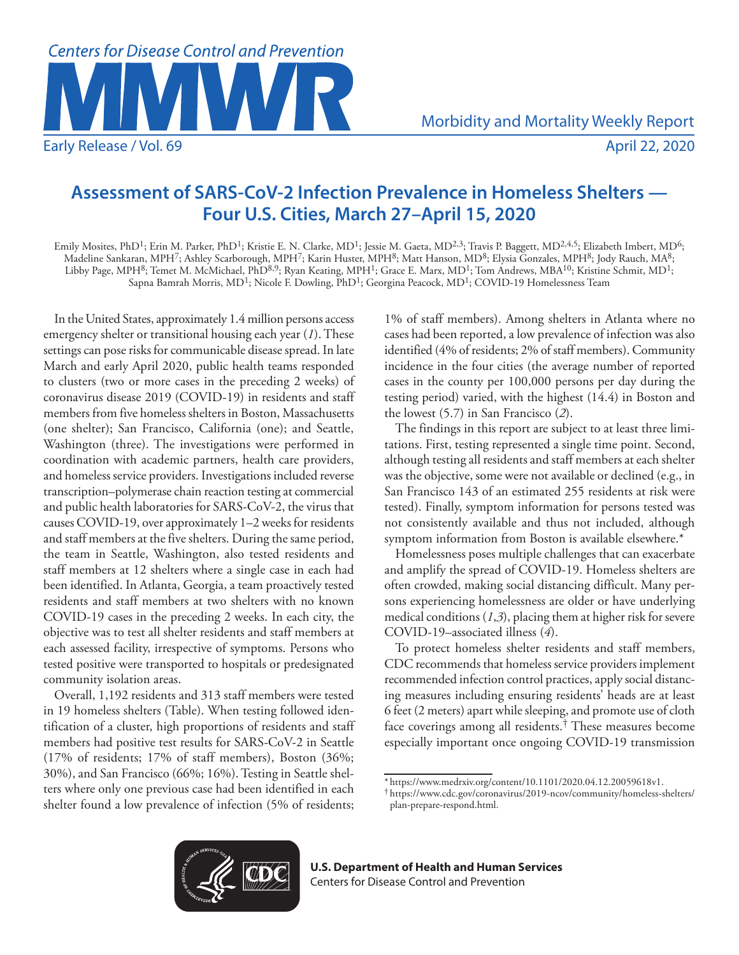

## **Assessment of SARS-CoV-2 Infection Prevalence in Homeless Shelters — Four U.S. Cities, March 27–April 15, 2020**

Emily Mosites, PhD<sup>1</sup>; Erin M. Parker, PhD<sup>1</sup>; Kristie E. N. Clarke, MD<sup>1</sup>; Jessie M. Gaeta, MD<sup>2,3</sup>; Travis P. Baggett, MD<sup>2,4,5</sup>; Elizabeth Imbert, MD<sup>6</sup>; Madeline Sankaran, MPH7; Ashley Scarborough, MPH7; Karin Huster, MPH8; Matt Hanson, MD8; Elysia Gonzales, MPH8; Jody Rauch, MA8; Libby Page, MPH<sup>8</sup>; Temet M. McMichael, PhD<sup>8,9</sup>; Ryan Keating, MPH<sup>1</sup>; Grace E. Marx, MD<sup>1</sup>; Tom Andrews, MBA<sup>10</sup>; Kristine Schmit, MD<sup>1</sup>; Sapna Bamrah Morris, MD<sup>1</sup>; Nicole F. Dowling, PhD<sup>1</sup>; Georgina Peacock, MD<sup>1</sup>; COVID-19 Homelessness Team

In the United States, approximately 1.4 million persons access emergency shelter or transitional housing each year (*1*). These settings can pose risks for communicable disease spread. In late March and early April 2020, public health teams responded to clusters (two or more cases in the preceding 2 weeks) of coronavirus disease 2019 (COVID-19) in residents and staff members from five homeless shelters in Boston, Massachusetts (one shelter); San Francisco, California (one); and Seattle, Washington (three). The investigations were performed in coordination with academic partners, health care providers, and homeless service providers. Investigations included reverse transcription–polymerase chain reaction testing at commercial and public health laboratories for SARS-CoV-2, the virus that causes COVID-19, over approximately 1–2 weeks for residents and staff members at the five shelters. During the same period, the team in Seattle, Washington, also tested residents and staff members at 12 shelters where a single case in each had been identified. In Atlanta, Georgia, a team proactively tested residents and staff members at two shelters with no known COVID-19 cases in the preceding 2 weeks. In each city, the objective was to test all shelter residents and staff members at each assessed facility, irrespective of symptoms. Persons who tested positive were transported to hospitals or predesignated community isolation areas.

Overall, 1,192 residents and 313 staff members were tested in 19 homeless shelters (Table). When testing followed identification of a cluster, high proportions of residents and staff members had positive test results for SARS-CoV-2 in Seattle (17% of residents; 17% of staff members), Boston (36%; 30%), and San Francisco (66%; 16%). Testing in Seattle shelters where only one previous case had been identified in each shelter found a low prevalence of infection (5% of residents;

1% of staff members). Among shelters in Atlanta where no cases had been reported, a low prevalence of infection was also identified (4% of residents; 2% of staff members). Community incidence in the four cities (the average number of reported cases in the county per 100,000 persons per day during the testing period) varied, with the highest (14.4) in Boston and the lowest (5.7) in San Francisco (*2*).

The findings in this report are subject to at least three limitations. First, testing represented a single time point. Second, although testing all residents and staff members at each shelter was the objective, some were not available or declined (e.g., in San Francisco 143 of an estimated 255 residents at risk were tested). Finally, symptom information for persons tested was not consistently available and thus not included, although symptom information from Boston is available elsewhere.\*

Homelessness poses multiple challenges that can exacerbate and amplify the spread of COVID-19. Homeless shelters are often crowded, making social distancing difficult. Many persons experiencing homelessness are older or have underlying medical conditions (*1*,*3*), placing them at higher risk for severe COVID-19–associated illness (*4*).

To protect homeless shelter residents and staff members, CDC recommends that homeless service providers implement recommended infection control practices, apply social distancing measures including ensuring residents' heads are at least 6 feet (2 meters) apart while sleeping, and promote use of cloth face coverings among all residents.† These measures become especially important once ongoing COVID-19 transmission



**U.S. Department of Health and Human Services** Centers for Disease Control and Prevention

<sup>\*</sup> <https://www.medrxiv.org/content/10.1101/2020.04.12.20059618v1>. † [https://www.cdc.gov/coronavirus/2019-ncov/community/homeless-shelters/](https://www.cdc.gov/coronavirus/2019-ncov/community/homeless-shelters/plan-prepare-respond.html)

[plan-prepare-respond.html](https://www.cdc.gov/coronavirus/2019-ncov/community/homeless-shelters/plan-prepare-respond.html).